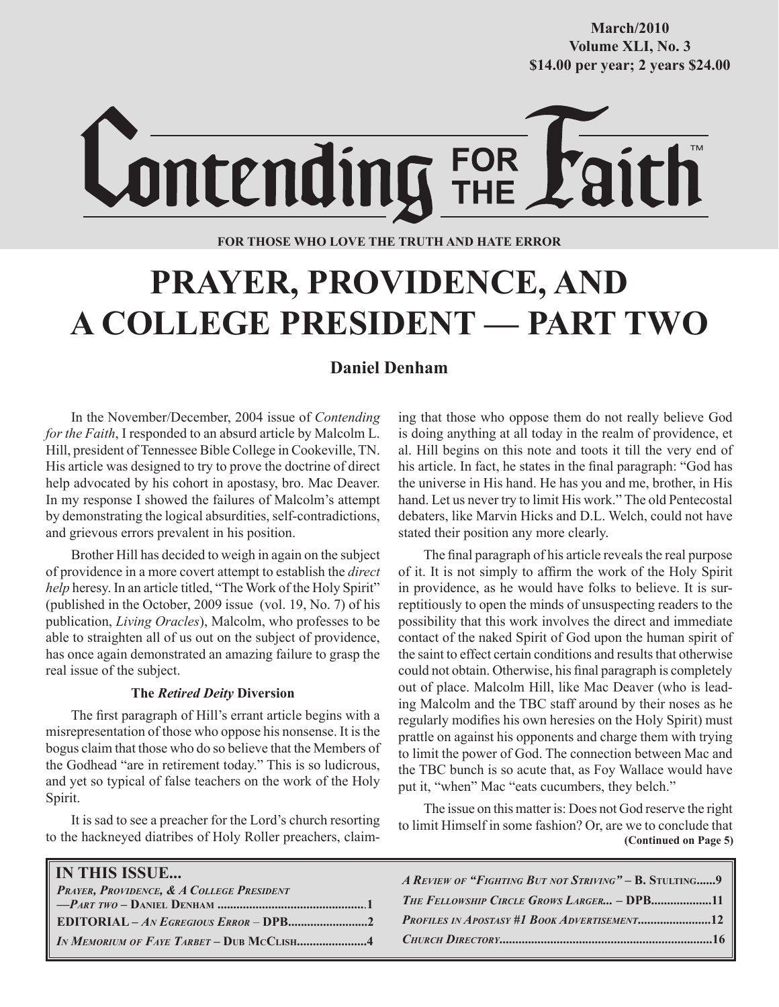**October/2007 Volume XLI, No. 3 Volume XXXVIII, No. 10 \$14.00 per year; 2 years \$24.00 \$14.00 per year; 2 years \$24.00 March/2010**

Lontending FOR

**FOR THOSE WHO LOVE THE TRUTH AND HATE ERROR**

# **PRAYER, PROVIDENCE, AND A COLLEGE PRESIDENT — PART TWO**

# **Daniel Denham**

In the November/December, 2004 issue of *Contending for the Faith*, I responded to an absurd article by Malcolm L. Hill, president of Tennessee Bible College in Cookeville, TN. His article was designed to try to prove the doctrine of direct help advocated by his cohort in apostasy, bro. Mac Deaver. In my response I showed the failures of Malcolm's attempt by demonstrating the logical absurdities, self-contradictions, and grievous errors prevalent in his position.

Brother Hill has decided to weigh in again on the subject of providence in a more covert attempt to establish the *direct help* heresy. In an article titled, "The Work of the Holy Spirit" (published in the October, 2009 issue (vol. 19, No. 7) of his publication, *Living Oracles*), Malcolm, who professes to be able to straighten all of us out on the subject of providence, has once again demonstrated an amazing failure to grasp the real issue of the subject.

# **The** *Retired Deity* **Diversion**

The first paragraph of Hill's errant article begins with a misrepresentation of those who oppose his nonsense. It is the bogus claim that those who do so believe that the Members of the Godhead "are in retirement today." This is so ludicrous, and yet so typical of false teachers on the work of the Holy Spirit.

It is sad to see a preacher for the Lord's church resorting to the hackneyed diatribes of Holy Roller preachers, claiming that those who oppose them do not really believe God is doing anything at all today in the realm of providence, et al. Hill begins on this note and toots it till the very end of his article. In fact, he states in the final paragraph: "God has the universe in His hand. He has you and me, brother, in His hand. Let us never try to limit His work." The old Pentecostal debaters, like Marvin Hicks and D.L. Welch, could not have stated their position any more clearly.

The final paragraph of his article reveals the real purpose of it. It is not simply to affirm the work of the Holy Spirit in providence, as he would have folks to believe. It is surreptitiously to open the minds of unsuspecting readers to the possibility that this work involves the direct and immediate contact of the naked Spirit of God upon the human spirit of the saint to effect certain conditions and results that otherwise could not obtain. Otherwise, his final paragraph is completely out of place. Malcolm Hill, like Mac Deaver (who is leading Malcolm and the TBC staff around by their noses as he regularly modifies his own heresies on the Holy Spirit) must prattle on against his opponents and charge them with trying to limit the power of God. The connection between Mac and the TBC bunch is so acute that, as Foy Wallace would have put it, "when" Mac "eats cucumbers, they belch."

 **(Continued on Page 5)** The issue on this matter is: Does not God reserve the right to limit Himself in some fashion? Or, are we to conclude that

| IN MEMORIUM OF FAYE TARBET – DUB MCCLISH4 | <b>IN THIS ISSUE</b><br><b>PRAYER, PROVIDENCE, &amp; A COLLEGE PRESIDENT</b> | A REVIEW OF "FIGHTING BUT NOT STRIVING" - B. STULTING9<br>THE FELLOWSHIP CIRCLE GROWS LARGER - DPB11 |
|-------------------------------------------|------------------------------------------------------------------------------|------------------------------------------------------------------------------------------------------|
|-------------------------------------------|------------------------------------------------------------------------------|------------------------------------------------------------------------------------------------------|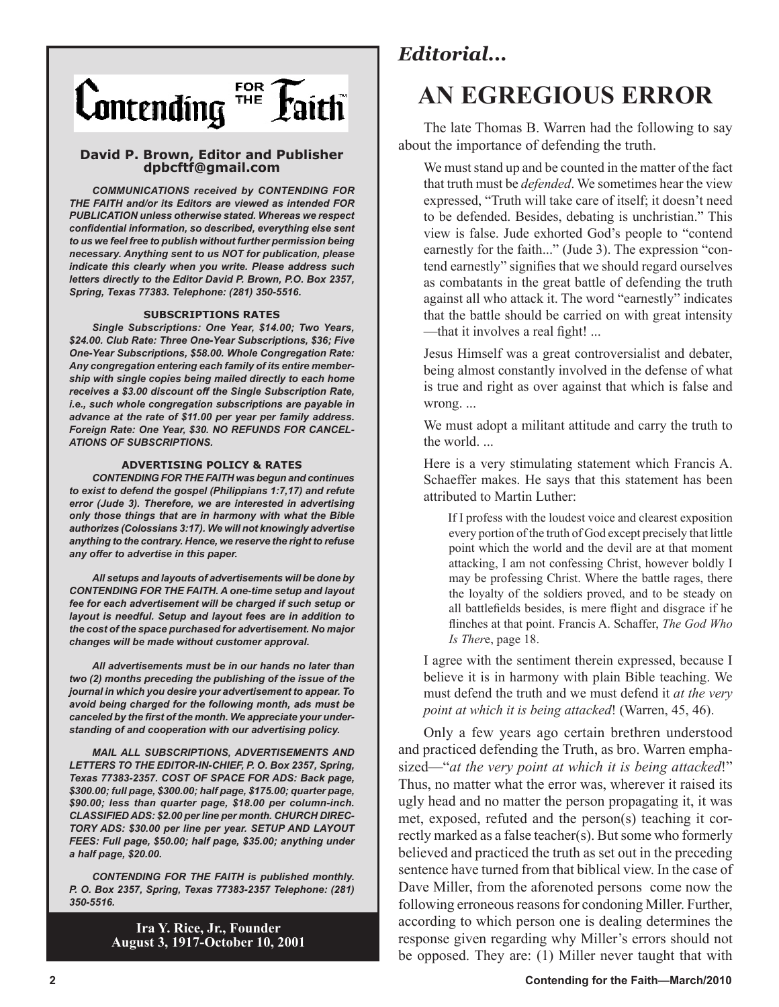

# **David P. Brown, Editor and Publisher dpbcftf@gmail.com**

*COMMUNICATIONS received by CONTENDING FOR THE FAITH and/or its Editors are viewed as intended FOR PUBLICATION unless otherwise stated. Whereas we respect confidential information, so described, everything else sent to us we feel free to publish without further permission being necessary. Anything sent to us NOT for publication, please indicate this clearly when you write. Please address such letters directly to the Editor David P. Brown, P.O. Box 2357, Spring, Texas 77383. Telephone: (281) 350-5516.*

#### **SUBSCRIPTIONS RATES**

*Single Subscriptions: One Year, \$14.00; Two Years, \$24.00. Club Rate: Three One-Year Subscriptions, \$36; Five One-Year Subscriptions, \$58.00. Whole Congregation Rate: Any congregation entering each family of its entire membership with single copies being mailed directly to each home receives a \$3.00 discount off the Single Subscription Rate, i.e., such whole congregation subscriptions are payable in advance at the rate of \$11.00 per year per family address. Foreign Rate: One Year, \$30. NO REFUNDS FOR CANCEL-ATIONS OF SUBSCRIPTIONS.*

#### **ADVERTISING POLICY & RATES**

*CONTENDING FOR THE FAITH was begun and continues to exist to defend the gospel (Philippians 1:7,17) and refute error (Jude 3). Therefore, we are interested in advertising only those things that are in harmony with what the Bible authorizes (Colossians 3:17). We will not knowingly advertise anything to the contrary. Hence, we reserve the right to refuse any offer to advertise in this paper.*

*All setups and layouts of advertisements will be done by CONTENDING FOR THE FAITH. A one-time setup and layout fee for each advertisement will be charged if such setup or layout is needful. Setup and layout fees are in addition to the cost of the space purchased for advertisement. No major changes will be made without customer approval.*

*All advertisements must be in our hands no later than two (2) months preceding the publishing of the issue of the journal in which you desire your advertisement to appear. To avoid being charged for the following month, ads must be canceled by the first of the month. We appreciate your understanding of and cooperation with our advertising policy.*

*MAIL ALL SUBSCRIPTIONS, ADVERTISEMENTS AND LETTERS TO THE EDITOR-IN-CHIEF, P. O. Box 2357, Spring, Texas 77383-2357. COST OF SPACE FOR ADS: Back page, \$300.00; full page, \$300.00; half page, \$175.00; quarter page, \$90.00; less than quarter page, \$18.00 per column-inch. CLASSIFIED ADS: \$2.00 per line per month. CHURCH DIREC-TORY ADS: \$30.00 per line per year. SETUP AND LAYOUT FEES: Full page, \$50.00; half page, \$35.00; anything under a half page, \$20.00.*

*CONTENDING FOR THE FAITH is published monthly. P. O. Box 2357, Spring, Texas 77383-2357 Telephone: (281) 350-5516.*

> **Ira Y. Rice, Jr., Founder August 3, 1917-October 10, 2001**

# *Editorial...*

# **AN EGREGIOUS ERROR**

The late Thomas B. Warren had the following to say about the importance of defending the truth.

We must stand up and be counted in the matter of the fact that truth must be *defended*. We sometimes hear the view expressed, "Truth will take care of itself; it doesn't need to be defended. Besides, debating is unchristian." This view is false. Jude exhorted God's people to "contend earnestly for the faith..." (Jude 3). The expression "contend earnestly" signifies that we should regard ourselves as combatants in the great battle of defending the truth against all who attack it. The word "earnestly" indicates that the battle should be carried on with great intensity —that it involves a real fight! ...

Jesus Himself was a great controversialist and debater, being almost constantly involved in the defense of what is true and right as over against that which is false and wrong. ...

We must adopt a militant attitude and carry the truth to the world. ...

Here is a very stimulating statement which Francis A. Schaeffer makes. He says that this statement has been attributed to Martin Luther:

If I profess with the loudest voice and clearest exposition every portion of the truth of God except precisely that little point which the world and the devil are at that moment attacking, I am not confessing Christ, however boldly I may be professing Christ. Where the battle rages, there the loyalty of the soldiers proved, and to be steady on all battlefields besides, is mere flight and disgrace if he flinches at that point. Francis A. Schaffer, *The God Who Is Ther*e, page 18.

I agree with the sentiment therein expressed, because I believe it is in harmony with plain Bible teaching. We must defend the truth and we must defend it *at the very point at which it is being attacked*! (Warren, 45, 46).

Only a few years ago certain brethren understood and practiced defending the Truth, as bro. Warren emphasized—"*at the very point at which it is being attacked*!" Thus, no matter what the error was, wherever it raised its ugly head and no matter the person propagating it, it was met, exposed, refuted and the person(s) teaching it correctly marked as a false teacher(s). But some who formerly believed and practiced the truth as set out in the preceding sentence have turned from that biblical view. In the case of Dave Miller, from the aforenoted persons come now the following erroneous reasons for condoning Miller. Further, according to which person one is dealing determines the response given regarding why Miller's errors should not be opposed. They are: (1) Miller never taught that with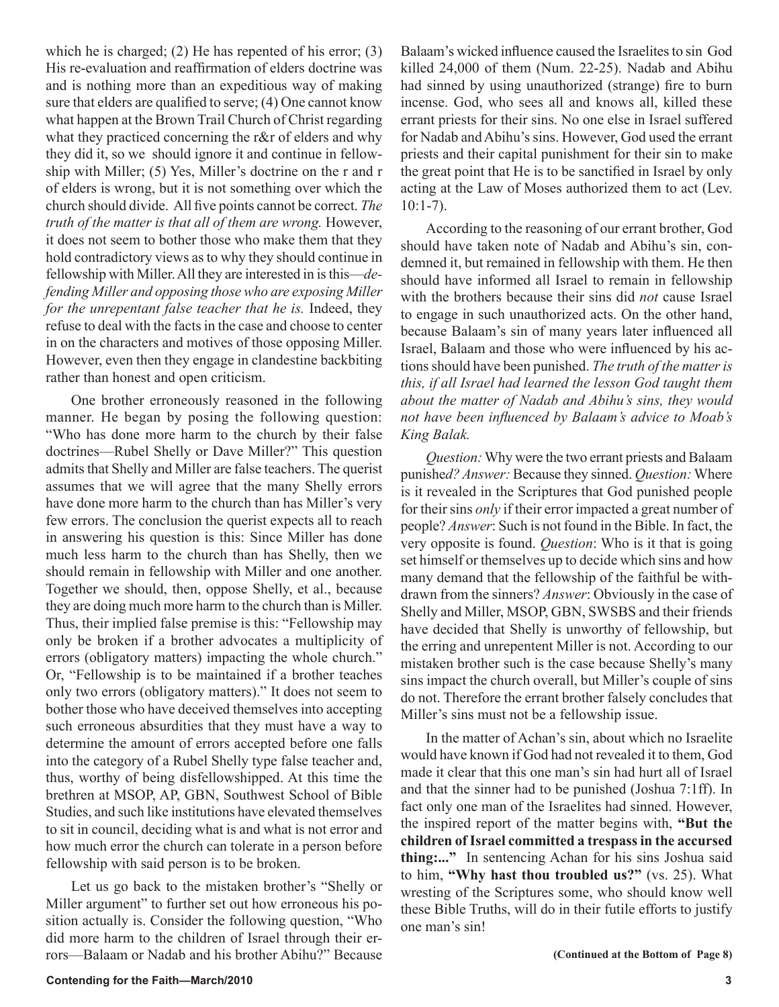which he is charged; (2) He has repented of his error; (3) His re-evaluation and reaffirmation of elders doctrine was and is nothing more than an expeditious way of making sure that elders are qualified to serve; (4) One cannot know what happen at the Brown Trail Church of Christ regarding what they practiced concerning the r&r of elders and why they did it, so we should ignore it and continue in fellowship with Miller; (5) Yes, Miller's doctrine on the r and r of elders is wrong, but it is not something over which the church should divide. All five points cannot be correct. *The truth of the matter is that all of them are wrong.* However, it does not seem to bother those who make them that they hold contradictory views as to why they should continue in fellowship with Miller. All they are interested in is this—*defending Miller and opposing those who are exposing Miller for the unrepentant false teacher that he is.* Indeed, they refuse to deal with the facts in the case and choose to center in on the characters and motives of those opposing Miller. However, even then they engage in clandestine backbiting rather than honest and open criticism.

One brother erroneously reasoned in the following manner. He began by posing the following question: "Who has done more harm to the church by their false doctrines—Rubel Shelly or Dave Miller?" This question admits that Shelly and Miller are false teachers. The querist assumes that we will agree that the many Shelly errors have done more harm to the church than has Miller's very few errors. The conclusion the querist expects all to reach in answering his question is this: Since Miller has done much less harm to the church than has Shelly, then we should remain in fellowship with Miller and one another. Together we should, then, oppose Shelly, et al., because they are doing much more harm to the church than is Miller. Thus, their implied false premise is this: "Fellowship may only be broken if a brother advocates a multiplicity of errors (obligatory matters) impacting the whole church." Or, "Fellowship is to be maintained if a brother teaches only two errors (obligatory matters)." It does not seem to bother those who have deceived themselves into accepting such erroneous absurdities that they must have a way to determine the amount of errors accepted before one falls into the category of a Rubel Shelly type false teacher and, thus, worthy of being disfellowshipped. At this time the brethren at MSOP, AP, GBN, Southwest School of Bible Studies, and such like institutions have elevated themselves to sit in council, deciding what is and what is not error and how much error the church can tolerate in a person before fellowship with said person is to be broken.

Let us go back to the mistaken brother's "Shelly or Miller argument" to further set out how erroneous his position actually is. Consider the following question, "Who did more harm to the children of Israel through their errors—Balaam or Nadab and his brother Abihu?" Because Balaam's wicked influence caused the Israelites to sin God killed 24,000 of them (Num. 22-25). Nadab and Abihu had sinned by using unauthorized (strange) fire to burn incense. God, who sees all and knows all, killed these errant priests for their sins. No one else in Israel suffered for Nadab and Abihu's sins. However, God used the errant priests and their capital punishment for their sin to make the great point that He is to be sanctified in Israel by only acting at the Law of Moses authorized them to act (Lev. 10:1-7).

According to the reasoning of our errant brother, God should have taken note of Nadab and Abihu's sin, condemned it, but remained in fellowship with them. He then should have informed all Israel to remain in fellowship with the brothers because their sins did *not* cause Israel to engage in such unauthorized acts. On the other hand, because Balaam's sin of many years later influenced all Israel, Balaam and those who were influenced by his actions should have been punished. *The truth of the matter is this, if all Israel had learned the lesson God taught them about the matter of Nadab and Abihu's sins, they would not have been influenced by Balaam's advice to Moab's King Balak.*

*Question:* Why were the two errant priests and Balaam punishe*d? Answer:* Because they sinned. *Question:* Where is it revealed in the Scriptures that God punished people for their sins *only* if their error impacted a great number of people? *Answer*: Such is not found in the Bible. In fact, the very opposite is found. *Question*: Who is it that is going set himself or themselves up to decide which sins and how many demand that the fellowship of the faithful be withdrawn from the sinners? *Answer*: Obviously in the case of Shelly and Miller, MSOP, GBN, SWSBS and their friends have decided that Shelly is unworthy of fellowship, but the erring and unrepentent Miller is not. According to our mistaken brother such is the case because Shelly's many sins impact the church overall, but Miller's couple of sins do not. Therefore the errant brother falsely concludes that Miller's sins must not be a fellowship issue.

In the matter of Achan's sin, about which no Israelite would have known if God had not revealed it to them, God made it clear that this one man's sin had hurt all of Israel and that the sinner had to be punished (Joshua 7:1ff). In fact only one man of the Israelites had sinned. However, the inspired report of the matter begins with, **"But the children of Israel committed a trespass in the accursed thing:..."** In sentencing Achan for his sins Joshua said to him, **"Why hast thou troubled us?"** (vs. 25). What wresting of the Scriptures some, who should know well these Bible Truths, will do in their futile efforts to justify one man's sin!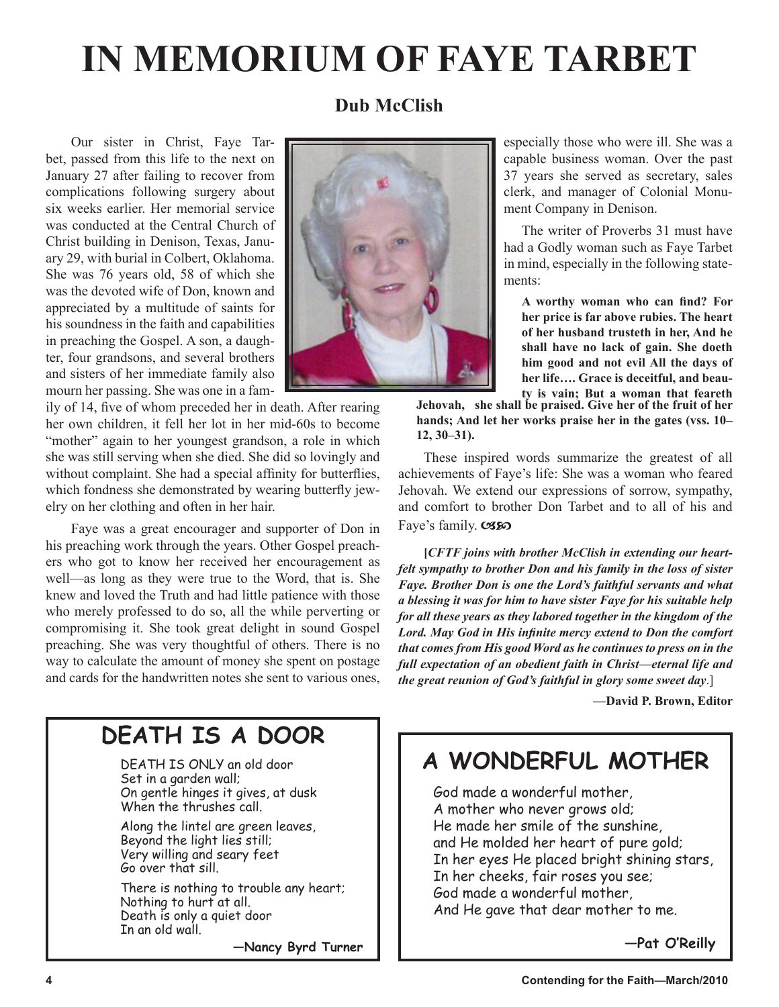# **IN MEMORIUM OF FAYE TARBET**

# **Dub McClish**

Our sister in Christ, Faye Tarbet, passed from this life to the next on January 27 after failing to recover from complications following surgery about six weeks earlier. Her memorial service was conducted at the Central Church of Christ building in Denison, Texas, January 29, with burial in Colbert, Oklahoma. She was 76 years old, 58 of which she was the devoted wife of Don, known and appreciated by a multitude of saints for his soundness in the faith and capabilities in preaching the Gospel. A son, a daughter, four grandsons, and several brothers and sisters of her immediate family also mourn her passing. She was one in a fam-

ily of 14, five of whom preceded her in death. After rearing her own children, it fell her lot in her mid-60s to become "mother" again to her youngest grandson, a role in which she was still serving when she died. She did so lovingly and without complaint. She had a special affinity for butterflies, which fondness she demonstrated by wearing butterfly jewelry on her clothing and often in her hair.

Faye was a great encourager and supporter of Don in his preaching work through the years. Other Gospel preachers who got to know her received her encouragement as well—as long as they were true to the Word, that is. She knew and loved the Truth and had little patience with those who merely professed to do so, all the while perverting or compromising it. She took great delight in sound Gospel preaching. She was very thoughtful of others. There is no way to calculate the amount of money she spent on postage and cards for the handwritten notes she sent to various ones,



especially those who were ill. She was a capable business woman. Over the past 37 years she served as secretary, sales clerk, and manager of Colonial Monument Company in Denison.

The writer of Proverbs 31 must have had a Godly woman such as Faye Tarbet in mind, especially in the following statements:

**A worthy woman who can find? For her price is far above rubies. The heart of her husband trusteth in her, And he shall have no lack of gain. She doeth him good and not evil All the days of her life…. Grace is deceitful, and beauty is vain; But a woman that feareth** 

**Jehovah, she shall be praised. Give her of the fruit of her hands; And let her works praise her in the gates (vss. 10– 12, 30–31).**

These inspired words summarize the greatest of all achievements of Faye's life: She was a woman who feared Jehovah. We extend our expressions of sorrow, sympathy, and comfort to brother Don Tarbet and to all of his and Faye's family. CSSO

**[***CFTF joins with brother McClish in extending our heartfelt sympathy to brother Don and his family in the loss of sister Faye. Brother Don is one the Lord's faithful servants and what a blessing it was for him to have sister Faye for his suitable help for all these years as they labored together in the kingdom of the Lord. May God in His infinite mercy extend to Don the comfort that comes from His good Word as he continues to press on in the full expectation of an obedient faith in Christ—eternal life and the great reunion of God's faithful in glory some sweet day*.]

 **—David P. Brown, Editor** 

# **DEATH IS A DOOR**

DEATH IS ONLY an old door Set in a garden wall; On gentle hinges it gives, at dusk When the thrushes call.

Along the lintel are green leaves, Beyond the light lies still; Very willing and seary feet Go over that sill.

There is nothing to trouble any heart; Nothing to hurt at all. Death is only a quiet door In an old wall.

**—Nancy Byrd Turner**

# **A WONDERFUL MOTHER**

God made a wonderful mother, A mother who never grows old; He made her smile of the sunshine, and He molded her heart of pure gold; In her eyes He placed bright shining stars, In her cheeks, fair roses you see; God made a wonderful mother, And He gave that dear mother to me.

**—Pat O'Reilly**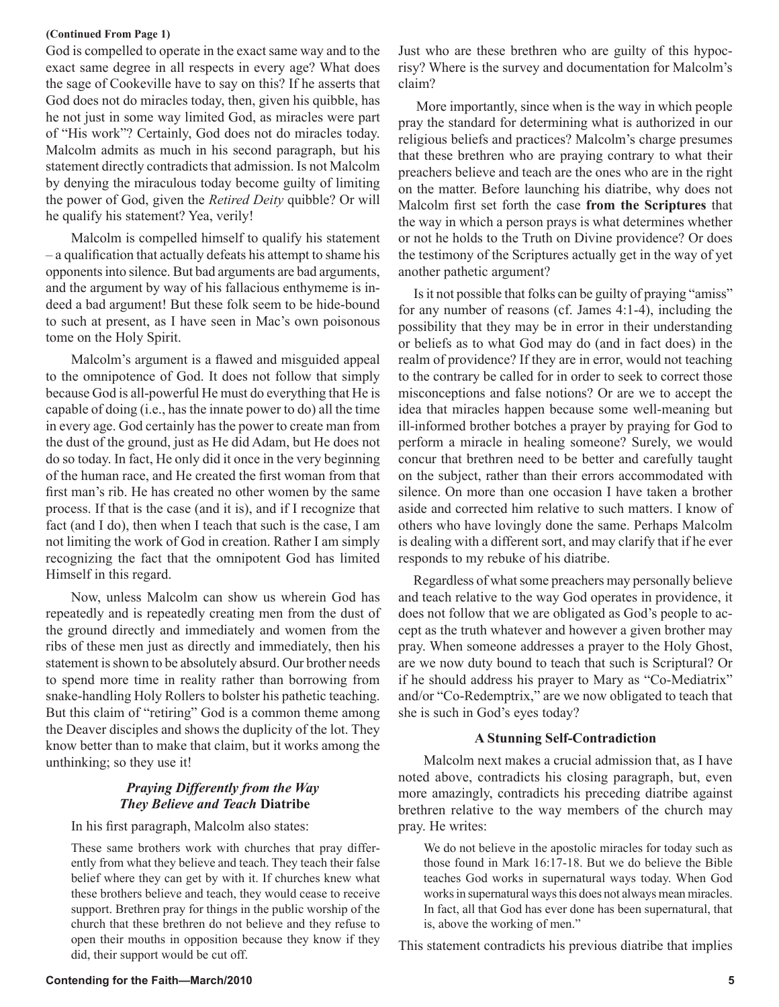## **(Continued From Page 1)**

God is compelled to operate in the exact same way and to the exact same degree in all respects in every age? What does the sage of Cookeville have to say on this? If he asserts that God does not do miracles today, then, given his quibble, has he not just in some way limited God, as miracles were part of "His work"? Certainly, God does not do miracles today. Malcolm admits as much in his second paragraph, but his statement directly contradicts that admission. Is not Malcolm by denying the miraculous today become guilty of limiting the power of God, given the *Retired Deity* quibble? Or will he qualify his statement? Yea, verily!

Malcolm is compelled himself to qualify his statement – a qualification that actually defeats his attempt to shame his opponents into silence. But bad arguments are bad arguments, and the argument by way of his fallacious enthymeme is indeed a bad argument! But these folk seem to be hide-bound to such at present, as I have seen in Mac's own poisonous tome on the Holy Spirit.

Malcolm's argument is a flawed and misguided appeal to the omnipotence of God. It does not follow that simply because God is all-powerful He must do everything that He is capable of doing (i.e., has the innate power to do) all the time in every age. God certainly has the power to create man from the dust of the ground, just as He did Adam, but He does not do so today. In fact, He only did it once in the very beginning of the human race, and He created the first woman from that first man's rib. He has created no other women by the same process. If that is the case (and it is), and if I recognize that fact (and I do), then when I teach that such is the case, I am not limiting the work of God in creation. Rather I am simply recognizing the fact that the omnipotent God has limited Himself in this regard.

Now, unless Malcolm can show us wherein God has repeatedly and is repeatedly creating men from the dust of the ground directly and immediately and women from the ribs of these men just as directly and immediately, then his statement is shown to be absolutely absurd. Our brother needs to spend more time in reality rather than borrowing from snake-handling Holy Rollers to bolster his pathetic teaching. But this claim of "retiring" God is a common theme among the Deaver disciples and shows the duplicity of the lot. They know better than to make that claim, but it works among the unthinking; so they use it!

# *Praying Differently from the Way They Believe and Teach* **Diatribe**

In his first paragraph, Malcolm also states:

These same brothers work with churches that pray differently from what they believe and teach. They teach their false belief where they can get by with it. If churches knew what these brothers believe and teach, they would cease to receive support. Brethren pray for things in the public worship of the church that these brethren do not believe and they refuse to open their mouths in opposition because they know if they did, their support would be cut off.

Just who are these brethren who are guilty of this hypocrisy? Where is the survey and documentation for Malcolm's claim?

 More importantly, since when is the way in which people pray the standard for determining what is authorized in our religious beliefs and practices? Malcolm's charge presumes that these brethren who are praying contrary to what their preachers believe and teach are the ones who are in the right on the matter. Before launching his diatribe, why does not Malcolm first set forth the case **from the Scriptures** that the way in which a person prays is what determines whether or not he holds to the Truth on Divine providence? Or does the testimony of the Scriptures actually get in the way of yet another pathetic argument?

 Is it not possible that folks can be guilty of praying "amiss" for any number of reasons (cf. James 4:1-4), including the possibility that they may be in error in their understanding or beliefs as to what God may do (and in fact does) in the realm of providence? If they are in error, would not teaching to the contrary be called for in order to seek to correct those misconceptions and false notions? Or are we to accept the idea that miracles happen because some well-meaning but ill-informed brother botches a prayer by praying for God to perform a miracle in healing someone? Surely, we would concur that brethren need to be better and carefully taught on the subject, rather than their errors accommodated with silence. On more than one occasion I have taken a brother aside and corrected him relative to such matters. I know of others who have lovingly done the same. Perhaps Malcolm is dealing with a different sort, and may clarify that if he ever responds to my rebuke of his diatribe.

 Regardless of what some preachers may personally believe and teach relative to the way God operates in providence, it does not follow that we are obligated as God's people to accept as the truth whatever and however a given brother may pray. When someone addresses a prayer to the Holy Ghost, are we now duty bound to teach that such is Scriptural? Or if he should address his prayer to Mary as "Co-Mediatrix" and/or "Co-Redemptrix," are we now obligated to teach that she is such in God's eyes today?

# **A Stunning Self-Contradiction**

Malcolm next makes a crucial admission that, as I have noted above, contradicts his closing paragraph, but, even more amazingly, contradicts his preceding diatribe against brethren relative to the way members of the church may pray. He writes:

We do not believe in the apostolic miracles for today such as those found in Mark 16:17-18. But we do believe the Bible teaches God works in supernatural ways today. When God works in supernatural ways this does not always mean miracles. In fact, all that God has ever done has been supernatural, that is, above the working of men."

This statement contradicts his previous diatribe that implies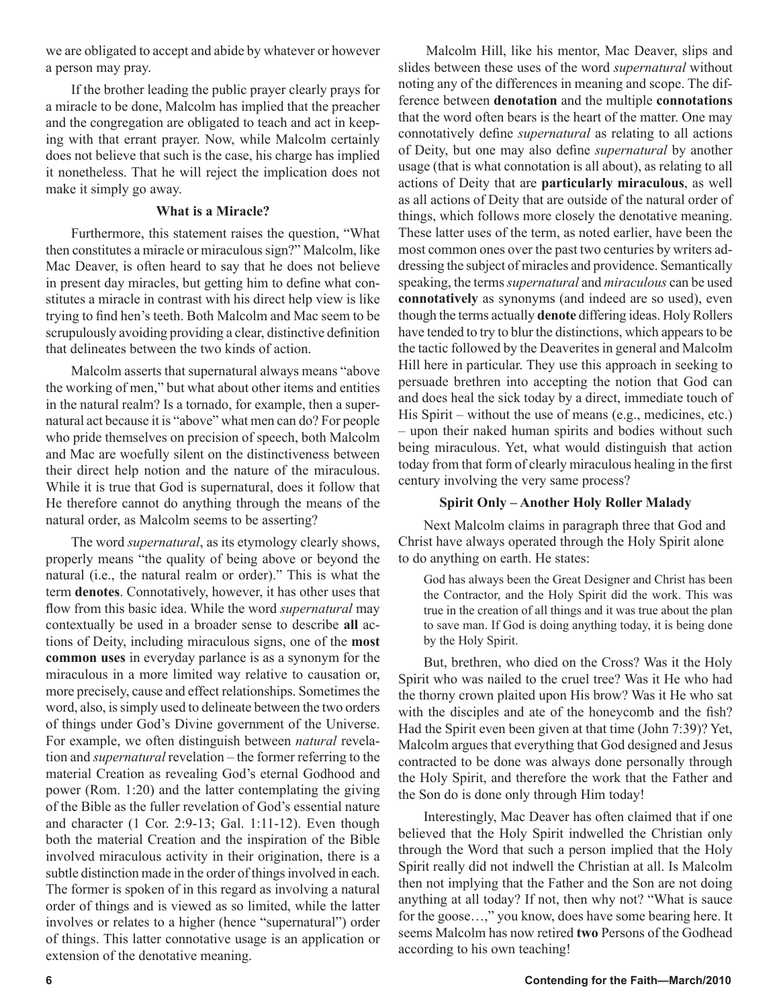we are obligated to accept and abide by whatever or however a person may pray.

If the brother leading the public prayer clearly prays for a miracle to be done, Malcolm has implied that the preacher and the congregation are obligated to teach and act in keeping with that errant prayer. Now, while Malcolm certainly does not believe that such is the case, his charge has implied it nonetheless. That he will reject the implication does not make it simply go away.

# **What is a Miracle?**

Furthermore, this statement raises the question, "What then constitutes a miracle or miraculous sign?" Malcolm, like Mac Deaver, is often heard to say that he does not believe in present day miracles, but getting him to define what constitutes a miracle in contrast with his direct help view is like trying to find hen's teeth. Both Malcolm and Mac seem to be scrupulously avoiding providing a clear, distinctive definition that delineates between the two kinds of action.

Malcolm asserts that supernatural always means "above the working of men," but what about other items and entities in the natural realm? Is a tornado, for example, then a supernatural act because it is "above" what men can do? For people who pride themselves on precision of speech, both Malcolm and Mac are woefully silent on the distinctiveness between their direct help notion and the nature of the miraculous. While it is true that God is supernatural, does it follow that He therefore cannot do anything through the means of the natural order, as Malcolm seems to be asserting?

The word *supernatural*, as its etymology clearly shows, properly means "the quality of being above or beyond the natural (i.e., the natural realm or order)." This is what the term **denotes**. Connotatively, however, it has other uses that flow from this basic idea. While the word *supernatural* may contextually be used in a broader sense to describe **all** actions of Deity, including miraculous signs, one of the **most common uses** in everyday parlance is as a synonym for the miraculous in a more limited way relative to causation or, more precisely, cause and effect relationships. Sometimes the word, also, is simply used to delineate between the two orders of things under God's Divine government of the Universe. For example, we often distinguish between *natural* revelation and *supernatural* revelation – the former referring to the material Creation as revealing God's eternal Godhood and power (Rom. 1:20) and the latter contemplating the giving of the Bible as the fuller revelation of God's essential nature and character (1 Cor. 2:9-13; Gal. 1:11-12). Even though both the material Creation and the inspiration of the Bible involved miraculous activity in their origination, there is a subtle distinction made in the order of things involved in each. The former is spoken of in this regard as involving a natural order of things and is viewed as so limited, while the latter involves or relates to a higher (hence "supernatural") order of things. This latter connotative usage is an application or extension of the denotative meaning.

 Malcolm Hill, like his mentor, Mac Deaver, slips and slides between these uses of the word *supernatural* without noting any of the differences in meaning and scope. The difference between **denotation** and the multiple **connotations** that the word often bears is the heart of the matter. One may connotatively define *supernatural* as relating to all actions of Deity, but one may also define *supernatural* by another usage (that is what connotation is all about), as relating to all actions of Deity that are **particularly miraculous**, as well as all actions of Deity that are outside of the natural order of things, which follows more closely the denotative meaning. These latter uses of the term, as noted earlier, have been the most common ones over the past two centuries by writers addressing the subject of miracles and providence. Semantically speaking, the terms *supernatural* and *miraculous* can be used **connotatively** as synonyms (and indeed are so used), even though the terms actually **denote** differing ideas. Holy Rollers have tended to try to blur the distinctions, which appears to be the tactic followed by the Deaverites in general and Malcolm Hill here in particular. They use this approach in seeking to persuade brethren into accepting the notion that God can and does heal the sick today by a direct, immediate touch of His Spirit – without the use of means (e.g., medicines, etc.) – upon their naked human spirits and bodies without such being miraculous. Yet, what would distinguish that action today from that form of clearly miraculous healing in the first century involving the very same process?

# **Spirit Only – Another Holy Roller Malady**

Next Malcolm claims in paragraph three that God and Christ have always operated through the Holy Spirit alone to do anything on earth. He states:

God has always been the Great Designer and Christ has been the Contractor, and the Holy Spirit did the work. This was true in the creation of all things and it was true about the plan to save man. If God is doing anything today, it is being done by the Holy Spirit.

But, brethren, who died on the Cross? Was it the Holy Spirit who was nailed to the cruel tree? Was it He who had the thorny crown plaited upon His brow? Was it He who sat with the disciples and ate of the honeycomb and the fish? Had the Spirit even been given at that time (John 7:39)? Yet, Malcolm argues that everything that God designed and Jesus contracted to be done was always done personally through the Holy Spirit, and therefore the work that the Father and the Son do is done only through Him today!

Interestingly, Mac Deaver has often claimed that if one believed that the Holy Spirit indwelled the Christian only through the Word that such a person implied that the Holy Spirit really did not indwell the Christian at all. Is Malcolm then not implying that the Father and the Son are not doing anything at all today? If not, then why not? "What is sauce for the goose…," you know, does have some bearing here. It seems Malcolm has now retired **two** Persons of the Godhead according to his own teaching!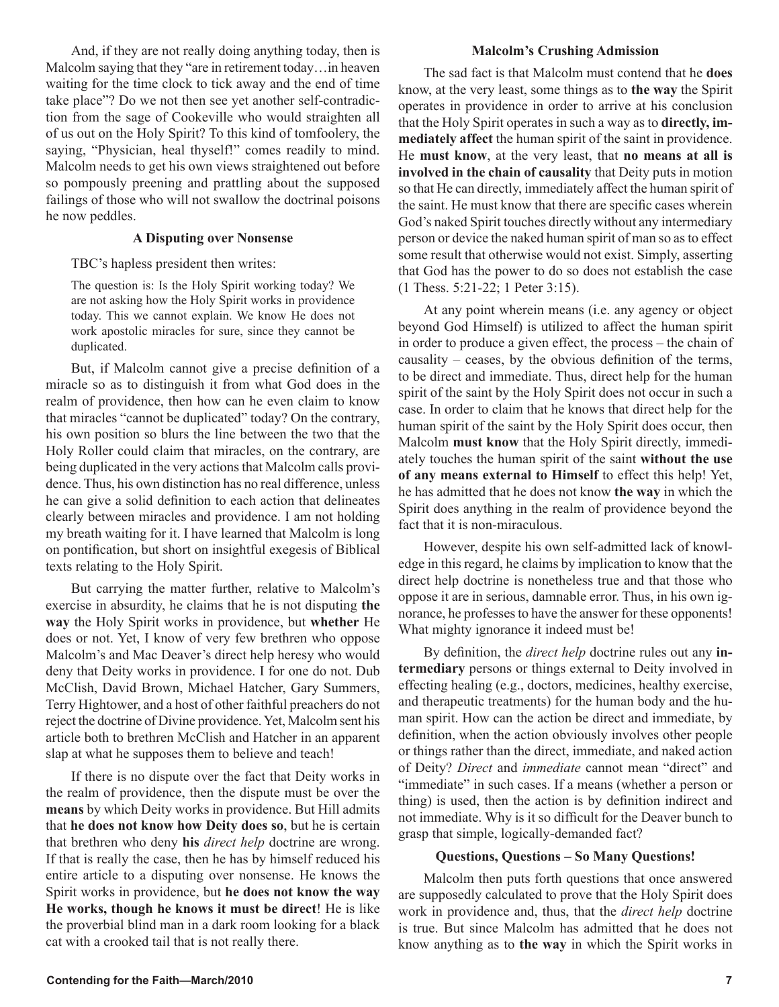And, if they are not really doing anything today, then is Malcolm saying that they "are in retirement today…in heaven waiting for the time clock to tick away and the end of time take place"? Do we not then see yet another self-contradiction from the sage of Cookeville who would straighten all of us out on the Holy Spirit? To this kind of tomfoolery, the saying, "Physician, heal thyself!" comes readily to mind. Malcolm needs to get his own views straightened out before so pompously preening and prattling about the supposed failings of those who will not swallow the doctrinal poisons he now peddles.

# **A Disputing over Nonsense**

TBC's hapless president then writes:

The question is: Is the Holy Spirit working today? We are not asking how the Holy Spirit works in providence today. This we cannot explain. We know He does not work apostolic miracles for sure, since they cannot be duplicated.

But, if Malcolm cannot give a precise definition of a miracle so as to distinguish it from what God does in the realm of providence, then how can he even claim to know that miracles "cannot be duplicated" today? On the contrary, his own position so blurs the line between the two that the Holy Roller could claim that miracles, on the contrary, are being duplicated in the very actions that Malcolm calls providence. Thus, his own distinction has no real difference, unless he can give a solid definition to each action that delineates clearly between miracles and providence. I am not holding my breath waiting for it. I have learned that Malcolm is long on pontification, but short on insightful exegesis of Biblical texts relating to the Holy Spirit.

But carrying the matter further, relative to Malcolm's exercise in absurdity, he claims that he is not disputing **the way** the Holy Spirit works in providence, but **whether** He does or not. Yet, I know of very few brethren who oppose Malcolm's and Mac Deaver's direct help heresy who would deny that Deity works in providence. I for one do not. Dub McClish, David Brown, Michael Hatcher, Gary Summers, Terry Hightower, and a host of other faithful preachers do not reject the doctrine of Divine providence. Yet, Malcolm sent his article both to brethren McClish and Hatcher in an apparent slap at what he supposes them to believe and teach!

If there is no dispute over the fact that Deity works in the realm of providence, then the dispute must be over the **means** by which Deity works in providence. But Hill admits that **he does not know how Deity does so**, but he is certain that brethren who deny **his** *direct help* doctrine are wrong. If that is really the case, then he has by himself reduced his entire article to a disputing over nonsense. He knows the Spirit works in providence, but **he does not know the way He works, though he knows it must be direct**! He is like the proverbial blind man in a dark room looking for a black cat with a crooked tail that is not really there.

## **Malcolm's Crushing Admission**

The sad fact is that Malcolm must contend that he **does** know, at the very least, some things as to **the way** the Spirit operates in providence in order to arrive at his conclusion that the Holy Spirit operates in such a way as to **directly, immediately affect** the human spirit of the saint in providence. He **must know**, at the very least, that **no means at all is involved in the chain of causality** that Deity puts in motion so that He can directly, immediately affect the human spirit of the saint. He must know that there are specific cases wherein God's naked Spirit touches directly without any intermediary person or device the naked human spirit of man so as to effect some result that otherwise would not exist. Simply, asserting that God has the power to do so does not establish the case (1 Thess. 5:21-22; 1 Peter 3:15).

At any point wherein means (i.e. any agency or object beyond God Himself) is utilized to affect the human spirit in order to produce a given effect, the process – the chain of causality – ceases, by the obvious definition of the terms, to be direct and immediate. Thus, direct help for the human spirit of the saint by the Holy Spirit does not occur in such a case. In order to claim that he knows that direct help for the human spirit of the saint by the Holy Spirit does occur, then Malcolm **must know** that the Holy Spirit directly, immediately touches the human spirit of the saint **without the use of any means external to Himself** to effect this help! Yet, he has admitted that he does not know **the way** in which the Spirit does anything in the realm of providence beyond the fact that it is non-miraculous.

However, despite his own self-admitted lack of knowledge in this regard, he claims by implication to know that the direct help doctrine is nonetheless true and that those who oppose it are in serious, damnable error. Thus, in his own ignorance, he professes to have the answer for these opponents! What mighty ignorance it indeed must be!

By definition, the *direct help* doctrine rules out any **intermediary** persons or things external to Deity involved in effecting healing (e.g., doctors, medicines, healthy exercise, and therapeutic treatments) for the human body and the human spirit. How can the action be direct and immediate, by definition, when the action obviously involves other people or things rather than the direct, immediate, and naked action of Deity? *Direct* and *immediate* cannot mean "direct" and "immediate" in such cases. If a means (whether a person or thing) is used, then the action is by definition indirect and not immediate. Why is it so difficult for the Deaver bunch to grasp that simple, logically-demanded fact?

## **Questions, Questions – So Many Questions!**

Malcolm then puts forth questions that once answered are supposedly calculated to prove that the Holy Spirit does work in providence and, thus, that the *direct help* doctrine is true. But since Malcolm has admitted that he does not know anything as to **the way** in which the Spirit works in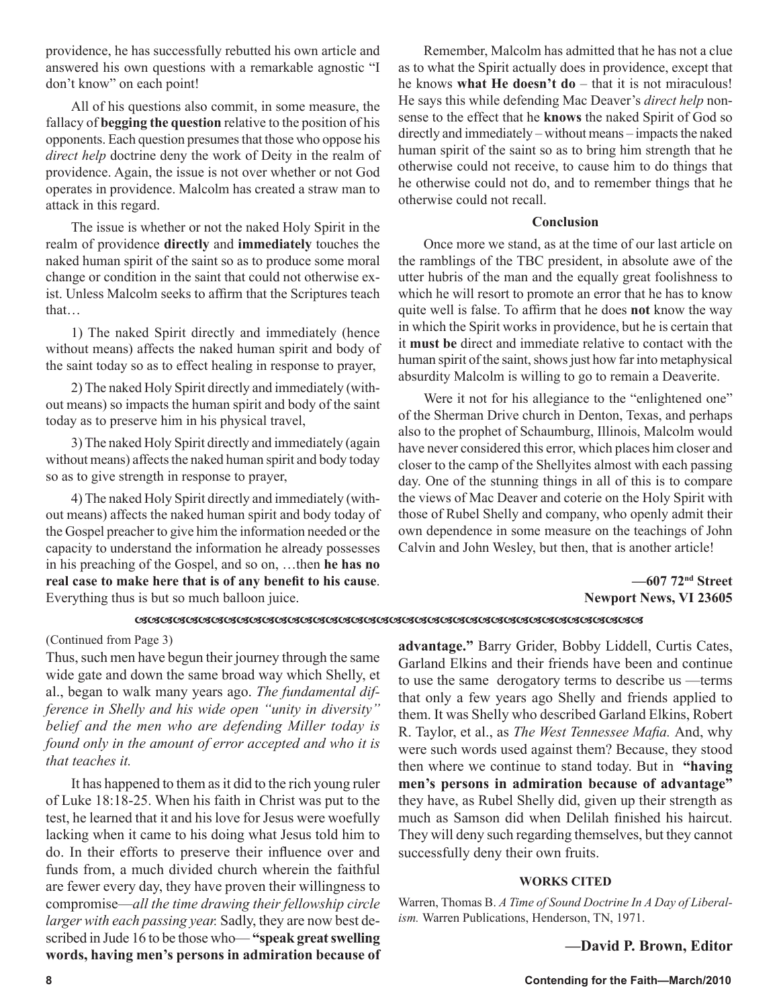providence, he has successfully rebutted his own article and answered his own questions with a remarkable agnostic "I don't know" on each point!

All of his questions also commit, in some measure, the fallacy of **begging the question** relative to the position of his opponents. Each question presumes that those who oppose his *direct help* doctrine deny the work of Deity in the realm of providence. Again, the issue is not over whether or not God operates in providence. Malcolm has created a straw man to attack in this regard.

The issue is whether or not the naked Holy Spirit in the realm of providence **directly** and **immediately** touches the naked human spirit of the saint so as to produce some moral change or condition in the saint that could not otherwise exist. Unless Malcolm seeks to affirm that the Scriptures teach that…

1) The naked Spirit directly and immediately (hence without means) affects the naked human spirit and body of the saint today so as to effect healing in response to prayer,

2) The naked Holy Spirit directly and immediately (without means) so impacts the human spirit and body of the saint today as to preserve him in his physical travel,

3) The naked Holy Spirit directly and immediately (again without means) affects the naked human spirit and body today so as to give strength in response to prayer,

4) The naked Holy Spirit directly and immediately (without means) affects the naked human spirit and body today of the Gospel preacher to give him the information needed or the capacity to understand the information he already possesses in his preaching of the Gospel, and so on, …then **he has no real case to make here that is of any benefit to his cause**. Everything thus is but so much balloon juice.

Remember, Malcolm has admitted that he has not a clue as to what the Spirit actually does in providence, except that he knows **what He doesn't do** – that it is not miraculous! He says this while defending Mac Deaver's *direct help* nonsense to the effect that he **knows** the naked Spirit of God so directly and immediately – without means – impacts the naked human spirit of the saint so as to bring him strength that he otherwise could not receive, to cause him to do things that he otherwise could not do, and to remember things that he otherwise could not recall.

# **Conclusion**

Once more we stand, as at the time of our last article on the ramblings of the TBC president, in absolute awe of the utter hubris of the man and the equally great foolishness to which he will resort to promote an error that he has to know quite well is false. To affirm that he does **not** know the way in which the Spirit works in providence, but he is certain that it **must be** direct and immediate relative to contact with the human spirit of the saint, shows just how far into metaphysical absurdity Malcolm is willing to go to remain a Deaverite.

Were it not for his allegiance to the "enlightened one" of the Sherman Drive church in Denton, Texas, and perhaps also to the prophet of Schaumburg, Illinois, Malcolm would have never considered this error, which places him closer and closer to the camp of the Shellyites almost with each passing day. One of the stunning things in all of this is to compare the views of Mac Deaver and coterie on the Holy Spirit with those of Rubel Shelly and company, who openly admit their own dependence in some measure on the teachings of John Calvin and John Wesley, but then, that is another article!

> **—607 72nd Street Newport News, VI 23605**

### 

(Continued from Page 3)

Thus, such men have begun their journey through the same wide gate and down the same broad way which Shelly, et al., began to walk many years ago. *The fundamental difference in Shelly and his wide open "unity in diversity" belief and the men who are defending Miller today is found only in the amount of error accepted and who it is that teaches it.*

It has happened to them as it did to the rich young ruler of Luke 18:18-25. When his faith in Christ was put to the test, he learned that it and his love for Jesus were woefully lacking when it came to his doing what Jesus told him to do. In their efforts to preserve their influence over and funds from, a much divided church wherein the faithful are fewer every day, they have proven their willingness to compromise—*all the time drawing their fellowship circle larger with each passing year.* Sadly, they are now best described in Jude 16 to be those who— **"speak great swelling words, having men's persons in admiration because of**  **advantage."** Barry Grider, Bobby Liddell, Curtis Cates, Garland Elkins and their friends have been and continue to use the same derogatory terms to describe us —terms that only a few years ago Shelly and friends applied to them. It was Shelly who described Garland Elkins, Robert R. Taylor, et al., as *The West Tennessee Mafia.* And, why were such words used against them? Because, they stood then where we continue to stand today. But in **"having men's persons in admiration because of advantage"**  they have, as Rubel Shelly did, given up their strength as much as Samson did when Delilah finished his haircut. They will deny such regarding themselves, but they cannot successfully deny their own fruits.

# **WORKS CITED**

Warren, Thomas B. *A Time of Sound Doctrine In A Day of Liberalism.* Warren Publications, Henderson, TN, 1971.

# **—David P. Brown, Editor**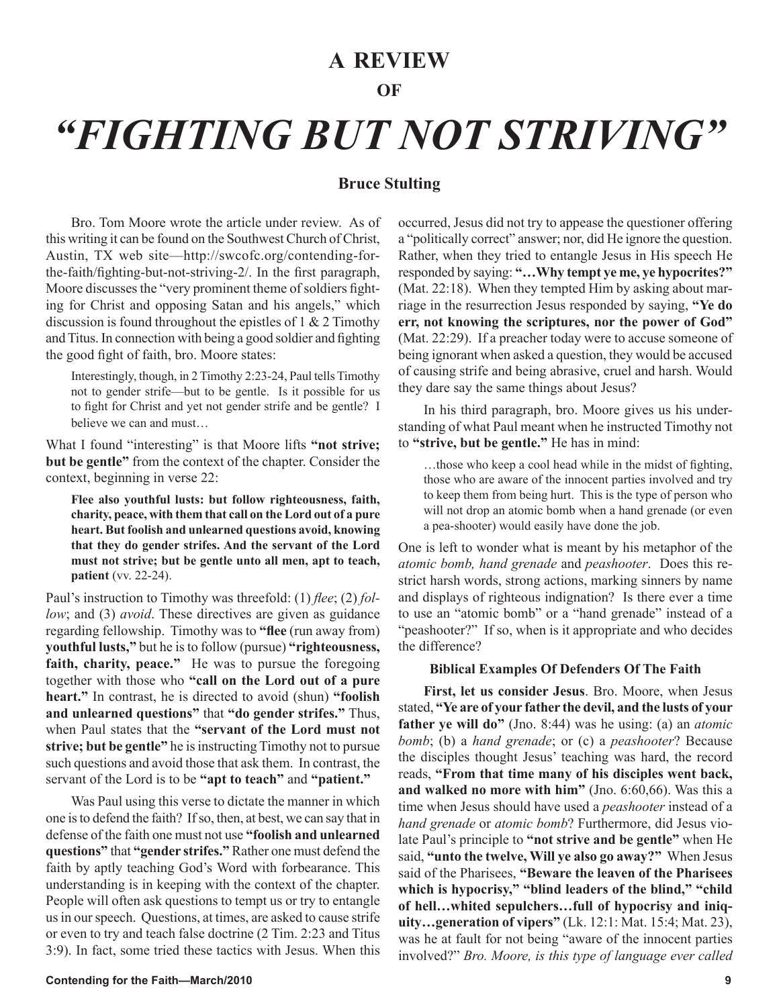# **A REVIEW**

# **OF**

# *"FIGHTING BUT NOT STRIVING"*

# **Bruce Stulting**

Bro. Tom Moore wrote the article under review. As of this writing it can be found on the Southwest Church of Christ, Austin, TX web site—http://swcofc.org/contending-forthe-faith/fighting-but-not-striving-2/. In the first paragraph, Moore discusses the "very prominent theme of soldiers fighting for Christ and opposing Satan and his angels," which discussion is found throughout the epistles of  $1 \& 2$  Timothy and Titus. In connection with being a good soldier and fighting the good fight of faith, bro. Moore states:

Interestingly, though, in 2 Timothy 2:23-24, Paul tells Timothy not to gender strife—but to be gentle. Is it possible for us to fight for Christ and yet not gender strife and be gentle? I believe we can and must…

What I found "interesting" is that Moore lifts **"not strive; but be gentle"** from the context of the chapter. Consider the context, beginning in verse 22:

**Flee also youthful lusts: but follow righteousness, faith, charity, peace, with them that call on the Lord out of a pure heart. But foolish and unlearned questions avoid, knowing that they do gender strifes. And the servant of the Lord must not strive; but be gentle unto all men, apt to teach, patient** (vv. 22-24).

Paul's instruction to Timothy was threefold: (1) *flee*; (2) *follow*; and (3) *avoid*. These directives are given as guidance regarding fellowship. Timothy was to **"flee** (run away from) **youthful lusts,"** but he is to follow (pursue) **"righteousness, faith, charity, peace."** He was to pursue the foregoing together with those who **"call on the Lord out of a pure heart."** In contrast, he is directed to avoid (shun) **"foolish and unlearned questions"** that **"do gender strifes."** Thus, when Paul states that the **"servant of the Lord must not strive; but be gentle"** he is instructing Timothy not to pursue such questions and avoid those that ask them. In contrast, the servant of the Lord is to be **"apt to teach"** and **"patient."**

Was Paul using this verse to dictate the manner in which one is to defend the faith? If so, then, at best, we can say that in defense of the faith one must not use **"foolish and unlearned questions"** that **"gender strifes."** Rather one must defend the faith by aptly teaching God's Word with forbearance. This understanding is in keeping with the context of the chapter. People will often ask questions to tempt us or try to entangle us in our speech. Questions, at times, are asked to cause strife or even to try and teach false doctrine (2 Tim. 2:23 and Titus 3:9). In fact, some tried these tactics with Jesus. When this

**Contending for the Faith—March/2010 9**

occurred, Jesus did not try to appease the questioner offering a "politically correct" answer; nor, did He ignore the question. Rather, when they tried to entangle Jesus in His speech He responded by saying: **"…Why tempt ye me, ye hypocrites?"** (Mat. 22:18). When they tempted Him by asking about marriage in the resurrection Jesus responded by saying, **"Ye do err, not knowing the scriptures, nor the power of God"** (Mat. 22:29). If a preacher today were to accuse someone of being ignorant when asked a question, they would be accused of causing strife and being abrasive, cruel and harsh. Would they dare say the same things about Jesus?

In his third paragraph, bro. Moore gives us his understanding of what Paul meant when he instructed Timothy not to **"strive, but be gentle."** He has in mind:

…those who keep a cool head while in the midst of fighting, those who are aware of the innocent parties involved and try to keep them from being hurt. This is the type of person who will not drop an atomic bomb when a hand grenade (or even a pea-shooter) would easily have done the job.

One is left to wonder what is meant by his metaphor of the *atomic bomb, hand grenade* and *peashooter*. Does this restrict harsh words, strong actions, marking sinners by name and displays of righteous indignation? Is there ever a time to use an "atomic bomb" or a "hand grenade" instead of a "peashooter?" If so, when is it appropriate and who decides the difference?

## **Biblical Examples Of Defenders Of The Faith**

**First, let us consider Jesus**. Bro. Moore, when Jesus stated, **"Ye are of your father the devil, and the lusts of your father ye will do"** (Jno. 8:44) was he using: (a) an *atomic bomb*; (b) a *hand grenade*; or (c) a *peashooter*? Because the disciples thought Jesus' teaching was hard, the record reads, **"From that time many of his disciples went back, and walked no more with him"** (Jno. 6:60,66). Was this a time when Jesus should have used a *peashooter* instead of a *hand grenade* or *atomic bomb*? Furthermore, did Jesus violate Paul's principle to **"not strive and be gentle"** when He said, **"unto the twelve, Will ye also go away?"** When Jesus said of the Pharisees, **"Beware the leaven of the Pharisees which is hypocrisy," "blind leaders of the blind," "child of hell…whited sepulchers…full of hypocrisy and iniquity…generation of vipers"** (Lk. 12:1: Mat. 15:4; Mat. 23), was he at fault for not being "aware of the innocent parties involved?" *Bro. Moore, is this type of language ever called*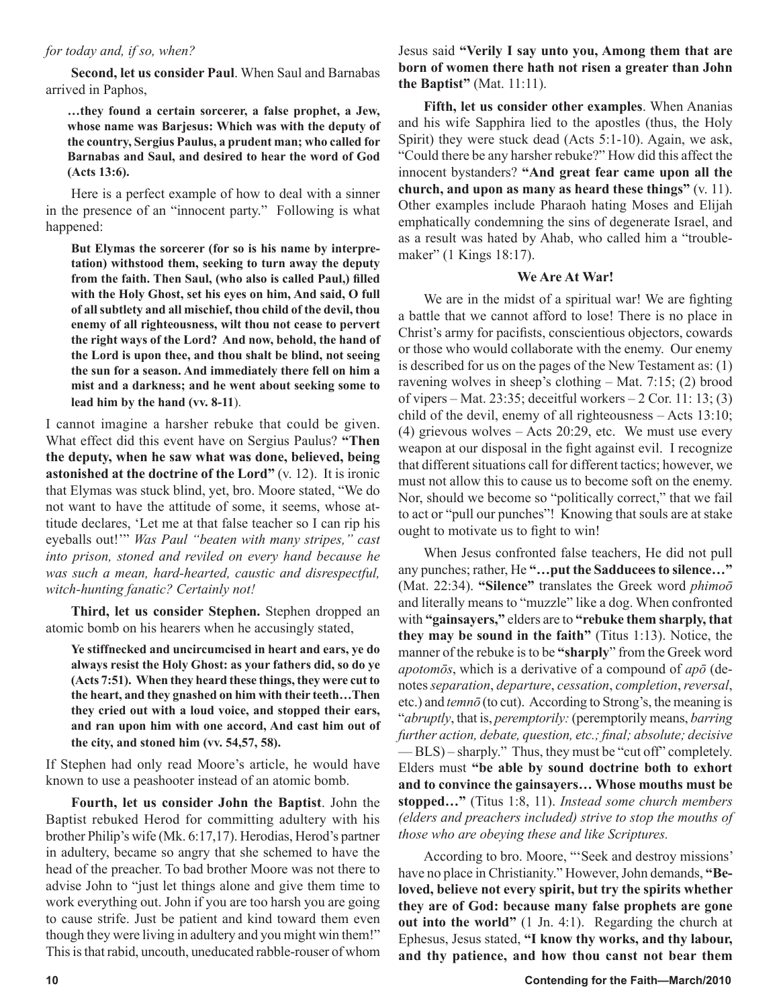# *for today and, if so, when?*

**Second, let us consider Paul**. When Saul and Barnabas arrived in Paphos,

**…they found a certain sorcerer, a false prophet, a Jew, whose name was Barjesus: Which was with the deputy of the country, Sergius Paulus, a prudent man; who called for Barnabas and Saul, and desired to hear the word of God (Acts 13:6).**

Here is a perfect example of how to deal with a sinner in the presence of an "innocent party." Following is what happened:

**But Elymas the sorcerer (for so is his name by interpretation) withstood them, seeking to turn away the deputy from the faith. Then Saul, (who also is called Paul,) filled with the Holy Ghost, set his eyes on him, And said, O full of all subtlety and all mischief, thou child of the devil, thou enemy of all righteousness, wilt thou not cease to pervert the right ways of the Lord? And now, behold, the hand of the Lord is upon thee, and thou shalt be blind, not seeing the sun for a season. And immediately there fell on him a mist and a darkness; and he went about seeking some to lead him by the hand (vv. 8-11**).

I cannot imagine a harsher rebuke that could be given. What effect did this event have on Sergius Paulus? **"Then the deputy, when he saw what was done, believed, being astonished at the doctrine of the Lord"** (v. 12). It is ironic that Elymas was stuck blind, yet, bro. Moore stated, "We do not want to have the attitude of some, it seems, whose attitude declares, 'Let me at that false teacher so I can rip his eyeballs out!'" *Was Paul "beaten with many stripes," cast into prison, stoned and reviled on every hand because he was such a mean, hard-hearted, caustic and disrespectful, witch-hunting fanatic? Certainly not!*

**Third, let us consider Stephen.** Stephen dropped an atomic bomb on his hearers when he accusingly stated,

**Ye stiffnecked and uncircumcised in heart and ears, ye do always resist the Holy Ghost: as your fathers did, so do ye (Acts 7:51). When they heard these things, they were cut to the heart, and they gnashed on him with their teeth…Then they cried out with a loud voice, and stopped their ears, and ran upon him with one accord, And cast him out of the city, and stoned him (vv. 54,57, 58).**

If Stephen had only read Moore's article, he would have known to use a peashooter instead of an atomic bomb.

**Fourth, let us consider John the Baptist**. John the Baptist rebuked Herod for committing adultery with his brother Philip's wife (Mk. 6:17,17). Herodias, Herod's partner in adultery, became so angry that she schemed to have the head of the preacher. To bad brother Moore was not there to advise John to "just let things alone and give them time to work everything out. John if you are too harsh you are going to cause strife. Just be patient and kind toward them even though they were living in adultery and you might win them!" This is that rabid, uncouth, uneducated rabble-rouser of whom Jesus said **"Verily I say unto you, Among them that are born of women there hath not risen a greater than John the Baptist"** (Mat. 11:11).

**Fifth, let us consider other examples**. When Ananias and his wife Sapphira lied to the apostles (thus, the Holy Spirit) they were stuck dead (Acts 5:1-10). Again, we ask, "Could there be any harsher rebuke?" How did this affect the innocent bystanders? **"And great fear came upon all the church, and upon as many as heard these things"** (v. 11). Other examples include Pharaoh hating Moses and Elijah emphatically condemning the sins of degenerate Israel, and as a result was hated by Ahab, who called him a "troublemaker" (1 Kings 18:17).

# **We Are At War!**

We are in the midst of a spiritual war! We are fighting a battle that we cannot afford to lose! There is no place in Christ's army for pacifists, conscientious objectors, cowards or those who would collaborate with the enemy. Our enemy is described for us on the pages of the New Testament as: (1) ravening wolves in sheep's clothing – Mat. 7:15; (2) brood of vipers – Mat. 23:35; deceitful workers – 2 Cor. 11: 13; (3) child of the devil, enemy of all righteousness – Acts 13:10; (4) grievous wolves – Acts 20:29, etc. We must use every weapon at our disposal in the fight against evil. I recognize that different situations call for different tactics; however, we must not allow this to cause us to become soft on the enemy. Nor, should we become so "politically correct," that we fail to act or "pull our punches"! Knowing that souls are at stake ought to motivate us to fight to win!

When Jesus confronted false teachers, He did not pull any punches; rather, He **"…put the Sadducees to silence…"**  (Mat. 22:34). **"Silence"** translates the Greek word *phimoō*  and literally means to "muzzle" like a dog. When confronted with **"gainsayers,"** elders are to **"rebuke them sharply, that they may be sound in the faith"** (Titus 1:13). Notice, the manner of the rebuke is to be **"sharply**" from the Greek word *apotomōs*, which is a derivative of a compound of *apō* (denotes *separation*, *departure*, *cessation*, *completion*, *reversal*, etc.) and *temnō* (to cut). According to Strong's, the meaning is "*abruptly*, that is, *peremptorily:* (peremptorily means, *barring further action, debate, question, etc.; final; absolute; decisive* — BLS) – sharply." Thus, they must be "cut off" completely. Elders must **"be able by sound doctrine both to exhort and to convince the gainsayers… Whose mouths must be stopped…"** (Titus 1:8, 11). *Instead some church members (elders and preachers included) strive to stop the mouths of those who are obeying these and like Scriptures.*

According to bro. Moore, "'Seek and destroy missions' have no place in Christianity." However, John demands, **"Beloved, believe not every spirit, but try the spirits whether they are of God: because many false prophets are gone out into the world"** (1 Jn. 4:1). Regarding the church at Ephesus, Jesus stated, **"I know thy works, and thy labour, and thy patience, and how thou canst not bear them**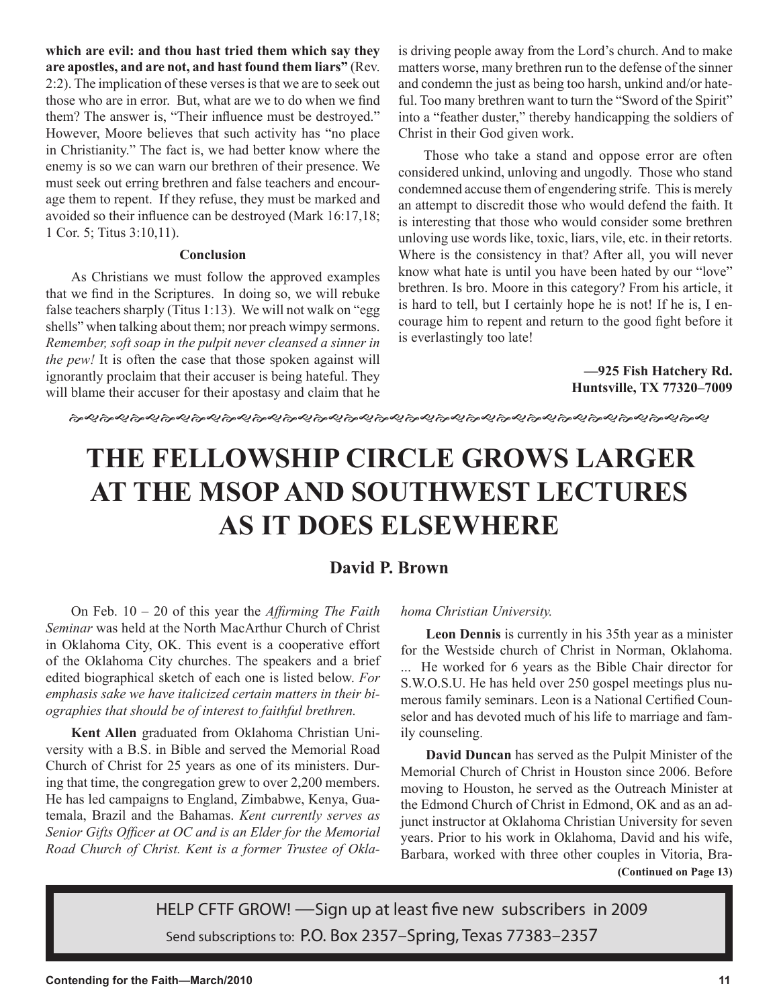**which are evil: and thou hast tried them which say they are apostles, and are not, and hast found them liars"** (Rev. 2:2). The implication of these verses is that we are to seek out those who are in error. But, what are we to do when we find them? The answer is, "Their influence must be destroyed." However, Moore believes that such activity has "no place in Christianity." The fact is, we had better know where the enemy is so we can warn our brethren of their presence. We must seek out erring brethren and false teachers and encourage them to repent. If they refuse, they must be marked and avoided so their influence can be destroyed (Mark 16:17,18; 1 Cor. 5; Titus 3:10,11).

# **Conclusion**

As Christians we must follow the approved examples that we find in the Scriptures. In doing so, we will rebuke false teachers sharply (Titus 1:13). We will not walk on "egg shells" when talking about them; nor preach wimpy sermons. *Remember, soft soap in the pulpit never cleansed a sinner in the pew!* It is often the case that those spoken against will ignorantly proclaim that their accuser is being hateful. They will blame their accuser for their apostasy and claim that he

is driving people away from the Lord's church. And to make matters worse, many brethren run to the defense of the sinner and condemn the just as being too harsh, unkind and/or hateful. Too many brethren want to turn the "Sword of the Spirit" into a "feather duster," thereby handicapping the soldiers of Christ in their God given work.

Those who take a stand and oppose error are often considered unkind, unloving and ungodly. Those who stand condemned accuse them of engendering strife. This is merely an attempt to discredit those who would defend the faith. It is interesting that those who would consider some brethren unloving use words like, toxic, liars, vile, etc. in their retorts. Where is the consistency in that? After all, you will never know what hate is until you have been hated by our "love" brethren. Is bro. Moore in this category? From his article, it is hard to tell, but I certainly hope he is not! If he is, I encourage him to repent and return to the good fight before it is everlastingly too late!

> **—925 Fish Hatchery Rd. Huntsville, TX 77320–7009**

# **THE FELLOWSHIP CIRCLE GROWS LARGER AT THE MSOP AND SOUTHWEST LECTURES AS IT DOES ELSEWHERE**

# **David P. Brown**

On Feb. 10 – 20 of this year the *Affirming The Faith Seminar* was held at the North MacArthur Church of Christ in Oklahoma City, OK. This event is a cooperative effort of the Oklahoma City churches. The speakers and a brief edited biographical sketch of each one is listed below. *For emphasis sake we have italicized certain matters in their biographies that should be of interest to faithful brethren.* 

**Kent Allen** graduated from Oklahoma Christian University with a B.S. in Bible and served the Memorial Road Church of Christ for 25 years as one of its ministers. During that time, the congregation grew to over 2,200 members. He has led campaigns to England, Zimbabwe, Kenya, Guatemala, Brazil and the Bahamas. *Kent currently serves as Senior Gifts Officer at OC and is an Elder for the Memorial Road Church of Christ. Kent is a former Trustee of Okla-*

# *homa Christian University.*

**Leon Dennis** is currently in his 35th year as a minister for the Westside church of Christ in Norman, Oklahoma. ... He worked for 6 years as the Bible Chair director for S.W.O.S.U. He has held over 250 gospel meetings plus numerous family seminars. Leon is a National Certified Counselor and has devoted much of his life to marriage and family counseling.

**David Duncan** has served as the Pulpit Minister of the Memorial Church of Christ in Houston since 2006. Before moving to Houston, he served as the Outreach Minister at the Edmond Church of Christ in Edmond, OK and as an adjunct instructor at Oklahoma Christian University for seven years. Prior to his work in Oklahoma, David and his wife, Barbara, worked with three other couples in Vitoria, Bra- **(Continued on Page 13)**

HELP CFTF GROW! —Sign up at least five new subscribers in 2009 Send subscriptions to: P.O. Box 2357–Spring, Texas 77383–2357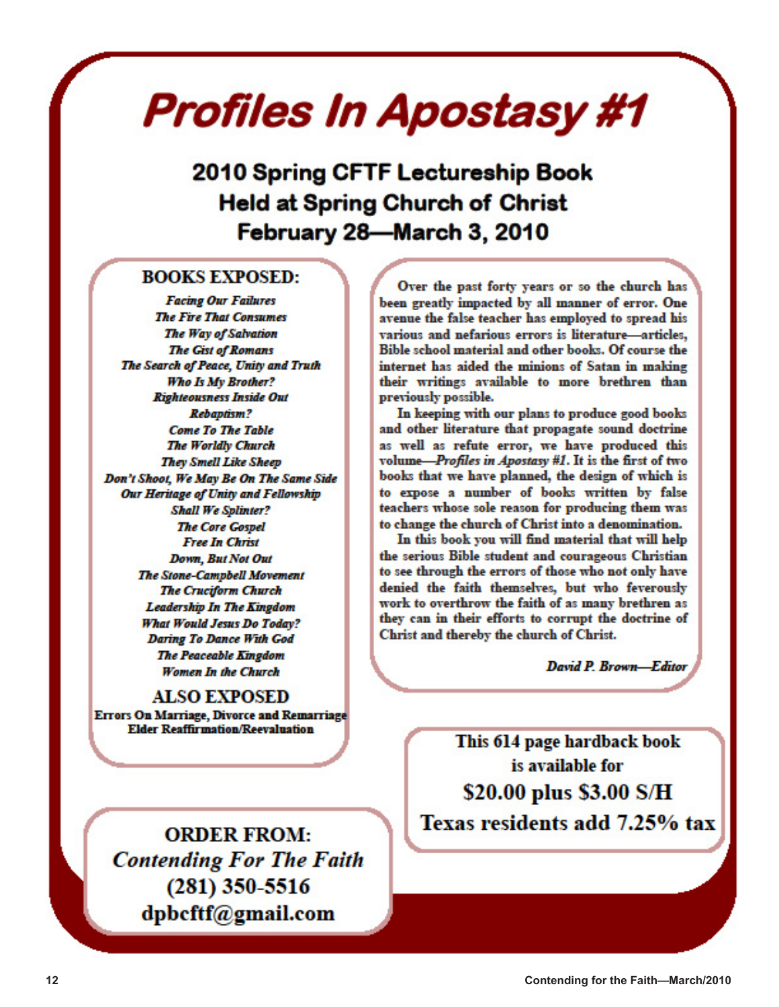# Profiles In Apostasy #1

2010 Spring CFTF Lectureship Book **Held at Spring Church of Christ** February 28-March 3, 2010

# **BOOKS EXPOSED:**

**Facing Our Failures The Fire That Consumes** The Way of Salvation **The Gist of Romans** The Search of Peace, Unity and Truth Who Is My Brother? **Righteousness Inside Out Rebaptism? Come To The Table The Worldly Church They Smell Like Sheep** Don't Shoot, We May Be On The Same Side Our Heritage of Unity and Fellowship **Shall We Splinter? The Core Gospel Free In Christ Down, But Not Out The Stone-Campbell Movement The Cruciform Church Leadership In The Kingdom What Would Jesus Do Today? Daring To Dance With God The Peaceable Kingdom** Women In the Church

# **ALSO EXPOSED**

**Errors On Marriage, Divorce and Remarriage Elder Reaffirmation/Reevaluation** 

**ORDER FROM: Contending For The Faith**  $(281)$  350-5516 dpbcftf@gmail.com

Over the past forty years or so the church has been greatly impacted by all manner of error. One avenue the false teacher has employed to spread his various and nefarious errors is literature-articles. Bible school material and other books. Of course the internet has aided the minions of Satan in making their writings available to more brethren than previously possible.

In keeping with our plans to produce good books and other literature that propagate sound doctrine as well as refute error, we have produced this volume-Profiles in Apostasy #1. It is the first of two books that we have planned, the design of which is to expose a number of books written by false teachers whose sole reason for producing them was to change the church of Christ into a denomination.

In this book you will find material that will help the serious Bible student and courageous Christian to see through the errors of those who not only have denied the faith themselves, but who feverously work to overthrow the faith of as many brethren as they can in their efforts to corrupt the doctrine of Christ and thereby the church of Christ.

David P. Brown-Editor

This 614 page hardback book is available for \$20.00 plus \$3.00 S/H Texas residents add 7.25% tax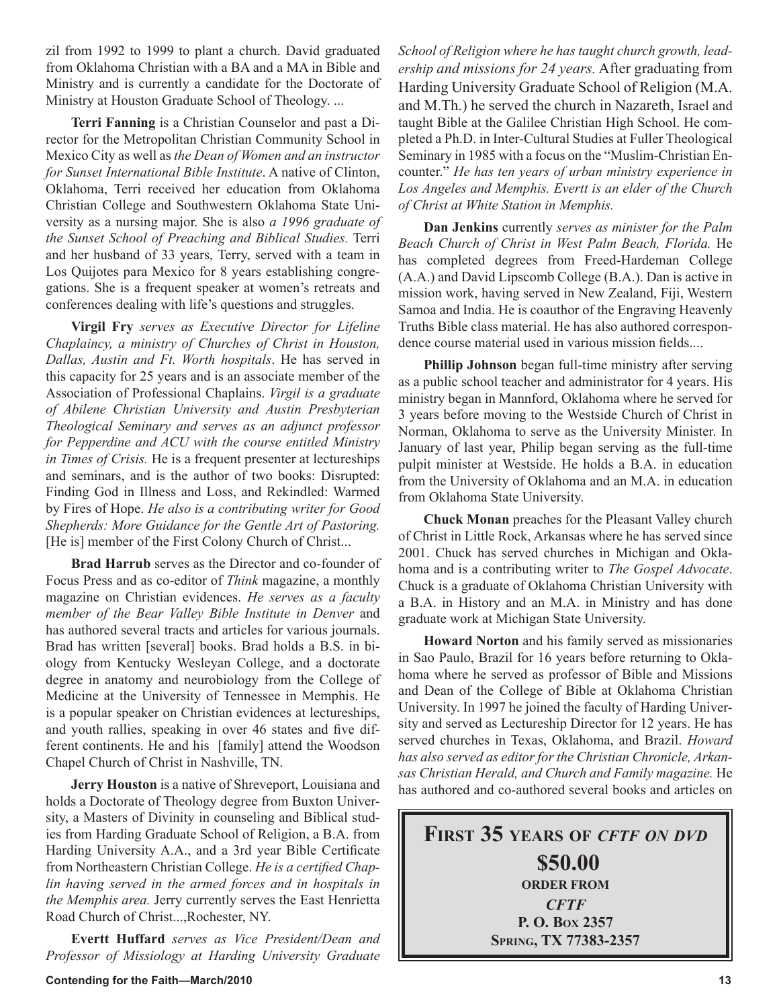zil from 1992 to 1999 to plant a church. David graduated from Oklahoma Christian with a BA and a MA in Bible and Ministry and is currently a candidate for the Doctorate of Ministry at Houston Graduate School of Theology. ...

**Terri Fanning** is a Christian Counselor and past a Director for the Metropolitan Christian Community School in Mexico City as well as *the Dean of Women and an instructor for Sunset International Bible Institute*. A native of Clinton, Oklahoma, Terri received her education from Oklahoma Christian College and Southwestern Oklahoma State University as a nursing major. She is also *a 1996 graduate of the Sunset School of Preaching and Biblical Studies.* Terri and her husband of 33 years, Terry, served with a team in Los Quijotes para Mexico for 8 years establishing congregations. She is a frequent speaker at women's retreats and conferences dealing with life's questions and struggles.

**Virgil Fry** *serves as Executive Director for Lifeline Chaplaincy, a ministry of Churches of Christ in Houston, Dallas, Austin and Ft. Worth hospitals*. He has served in this capacity for 25 years and is an associate member of the Association of Professional Chaplains. *Virgil is a graduate of Abilene Christian University and Austin Presbyterian Theological Seminary and serves as an adjunct professor for Pepperdine and ACU with the course entitled Ministry in Times of Crisis.* He is a frequent presenter at lectureships and seminars, and is the author of two books: Disrupted: Finding God in Illness and Loss, and Rekindled: Warmed by Fires of Hope. *He also is a contributing writer for Good Shepherds: More Guidance for the Gentle Art of Pastoring.*  [He is] member of the First Colony Church of Christ...

**Brad Harrub** serves as the Director and co-founder of Focus Press and as co-editor of *Think* magazine, a monthly magazine on Christian evidences. *He serves as a faculty member of the Bear Valley Bible Institute in Denver* and has authored several tracts and articles for various journals. Brad has written [several] books. Brad holds a B.S. in biology from Kentucky Wesleyan College, and a doctorate degree in anatomy and neurobiology from the College of Medicine at the University of Tennessee in Memphis. He is a popular speaker on Christian evidences at lectureships, and youth rallies, speaking in over 46 states and five different continents. He and his [family] attend the Woodson Chapel Church of Christ in Nashville, TN.

**Jerry Houston** is a native of Shreveport, Louisiana and holds a Doctorate of Theology degree from Buxton University, a Masters of Divinity in counseling and Biblical studies from Harding Graduate School of Religion, a B.A. from Harding University A.A., and a 3rd year Bible Certificate from Northeastern Christian College. *He is a certified Chaplin having served in the armed forces and in hospitals in the Memphis area.* Jerry currently serves the East Henrietta Road Church of Christ...,Rochester, NY.

**Evertt Huffard** *serves as Vice President/Dean and Professor of Missiology at Harding University Graduate*  *School of Religion where he has taught church growth, leadership and missions for 24 years.* After graduating from Harding University Graduate School of Religion (M.A. and M.Th.) he served the church in Nazareth, Israel and taught Bible at the Galilee Christian High School. He completed a Ph.D. in Inter-Cultural Studies at Fuller Theological Seminary in 1985 with a focus on the "Muslim-Christian Encounter." *He has ten years of urban ministry experience in Los Angeles and Memphis. Evertt is an elder of the Church of Christ at White Station in Memphis.*

**Dan Jenkins** currently *serves as minister for the Palm Beach Church of Christ in West Palm Beach, Florida.* He has completed degrees from Freed-Hardeman College (A.A.) and David Lipscomb College (B.A.). Dan is active in mission work, having served in New Zealand, Fiji, Western Samoa and India. He is coauthor of the Engraving Heavenly Truths Bible class material. He has also authored correspondence course material used in various mission fields....

**Phillip Johnson** began full-time ministry after serving as a public school teacher and administrator for 4 years. His ministry began in Mannford, Oklahoma where he served for 3 years before moving to the Westside Church of Christ in Norman, Oklahoma to serve as the University Minister. In January of last year, Philip began serving as the full-time pulpit minister at Westside. He holds a B.A. in education from the University of Oklahoma and an M.A. in education from Oklahoma State University.

**Chuck Monan** preaches for the Pleasant Valley church of Christ in Little Rock, Arkansas where he has served since 2001. Chuck has served churches in Michigan and Oklahoma and is a contributing writer to *The Gospel Advocate*. Chuck is a graduate of Oklahoma Christian University with a B.A. in History and an M.A. in Ministry and has done graduate work at Michigan State University.

**Howard Norton** and his family served as missionaries in Sao Paulo, Brazil for 16 years before returning to Oklahoma where he served as professor of Bible and Missions and Dean of the College of Bible at Oklahoma Christian University. In 1997 he joined the faculty of Harding University and served as Lectureship Director for 12 years. He has served churches in Texas, Oklahoma, and Brazil. *Howard has also served as editor for the Christian Chronicle, Arkansas Christian Herald, and Church and Family magazine.* He has authored and co-authored several books and articles on

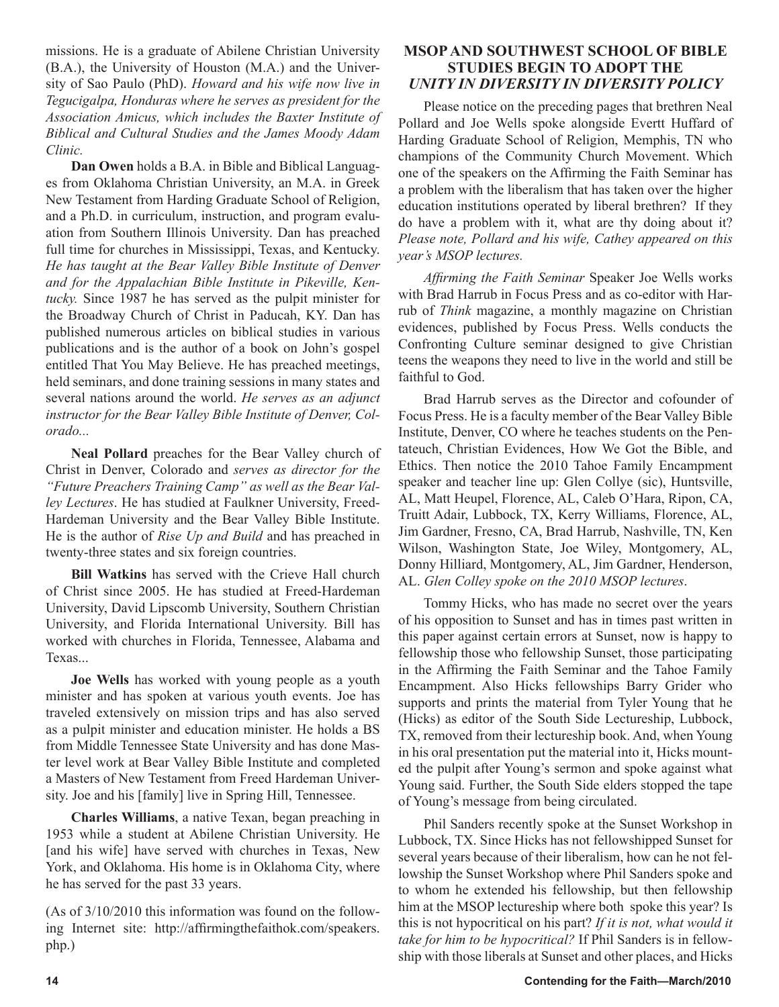missions. He is a graduate of Abilene Christian University (B.A.), the University of Houston (M.A.) and the University of Sao Paulo (PhD). *Howard and his wife now live in Tegucigalpa, Honduras where he serves as president for the Association Amicus, which includes the Baxter Institute of Biblical and Cultural Studies and the James Moody Adam Clinic.*

**Dan Owen** holds a B.A. in Bible and Biblical Languages from Oklahoma Christian University, an M.A. in Greek New Testament from Harding Graduate School of Religion, and a Ph.D. in curriculum, instruction, and program evaluation from Southern Illinois University. Dan has preached full time for churches in Mississippi, Texas, and Kentucky. *He has taught at the Bear Valley Bible Institute of Denver and for the Appalachian Bible Institute in Pikeville, Kentucky.* Since 1987 he has served as the pulpit minister for the Broadway Church of Christ in Paducah, KY. Dan has published numerous articles on biblical studies in various publications and is the author of a book on John's gospel entitled That You May Believe. He has preached meetings, held seminars, and done training sessions in many states and several nations around the world. *He serves as an adjunct instructor for the Bear Valley Bible Institute of Denver, Colorado...*

**Neal Pollard** preaches for the Bear Valley church of Christ in Denver, Colorado and *serves as director for the "Future Preachers Training Camp" as well as the Bear Valley Lectures*. He has studied at Faulkner University, Freed-Hardeman University and the Bear Valley Bible Institute. He is the author of *Rise Up and Build* and has preached in twenty-three states and six foreign countries.

**Bill Watkins** has served with the Crieve Hall church of Christ since 2005. He has studied at Freed-Hardeman University, David Lipscomb University, Southern Christian University, and Florida International University. Bill has worked with churches in Florida, Tennessee, Alabama and Texas...

**Joe Wells** has worked with young people as a youth minister and has spoken at various youth events. Joe has traveled extensively on mission trips and has also served as a pulpit minister and education minister. He holds a BS from Middle Tennessee State University and has done Master level work at Bear Valley Bible Institute and completed a Masters of New Testament from Freed Hardeman University. Joe and his [family] live in Spring Hill, Tennessee.

**Charles Williams**, a native Texan, began preaching in 1953 while a student at Abilene Christian University. He [and his wife] have served with churches in Texas, New York, and Oklahoma. His home is in Oklahoma City, where he has served for the past 33 years.

(As of 3/10/2010 this information was found on the following Internet site: http://affirmingthefaithok.com/speakers. php.)

# **MSOP AND SOUTHWEST SCHOOL OF BIBLE STUDIES BEGIN TO ADOPT THE** *UNITY IN DIVERSITY IN DIVERSITY POLICY*

Please notice on the preceding pages that brethren Neal Pollard and Joe Wells spoke alongside Evertt Huffard of Harding Graduate School of Religion, Memphis, TN who champions of the Community Church Movement. Which one of the speakers on the Affirming the Faith Seminar has a problem with the liberalism that has taken over the higher education institutions operated by liberal brethren? If they do have a problem with it, what are thy doing about it? *Please note, Pollard and his wife, Cathey appeared on this year's MSOP lectures.* 

*Affirming the Faith Seminar* Speaker Joe Wells works with Brad Harrub in Focus Press and as co-editor with Harrub of *Think* magazine, a monthly magazine on Christian evidences, published by Focus Press. Wells conducts the Confronting Culture seminar designed to give Christian teens the weapons they need to live in the world and still be faithful to God.

Brad Harrub serves as the Director and cofounder of Focus Press. He is a faculty member of the Bear Valley Bible Institute, Denver, CO where he teaches students on the Pentateuch, Christian Evidences, How We Got the Bible, and Ethics. Then notice the 2010 Tahoe Family Encampment speaker and teacher line up: Glen Collye (sic), Huntsville, AL, Matt Heupel, Florence, AL, Caleb O'Hara, Ripon, CA, Truitt Adair, Lubbock, TX, Kerry Williams, Florence, AL, Jim Gardner, Fresno, CA, Brad Harrub, Nashville, TN, Ken Wilson, Washington State, Joe Wiley, Montgomery, AL, Donny Hilliard, Montgomery, AL, Jim Gardner, Henderson, AL. *Glen Colley spoke on the 2010 MSOP lectures*.

Tommy Hicks, who has made no secret over the years of his opposition to Sunset and has in times past written in this paper against certain errors at Sunset, now is happy to fellowship those who fellowship Sunset, those participating in the Affirming the Faith Seminar and the Tahoe Family Encampment. Also Hicks fellowships Barry Grider who supports and prints the material from Tyler Young that he (Hicks) as editor of the South Side Lectureship, Lubbock, TX, removed from their lectureship book. And, when Young in his oral presentation put the material into it, Hicks mounted the pulpit after Young's sermon and spoke against what Young said. Further, the South Side elders stopped the tape of Young's message from being circulated.

Phil Sanders recently spoke at the Sunset Workshop in Lubbock, TX. Since Hicks has not fellowshipped Sunset for several years because of their liberalism, how can he not fellowship the Sunset Workshop where Phil Sanders spoke and to whom he extended his fellowship, but then fellowship him at the MSOP lectureship where both spoke this year? Is this is not hypocritical on his part? *If it is not, what would it take for him to be hypocritical?* If Phil Sanders is in fellowship with those liberals at Sunset and other places, and Hicks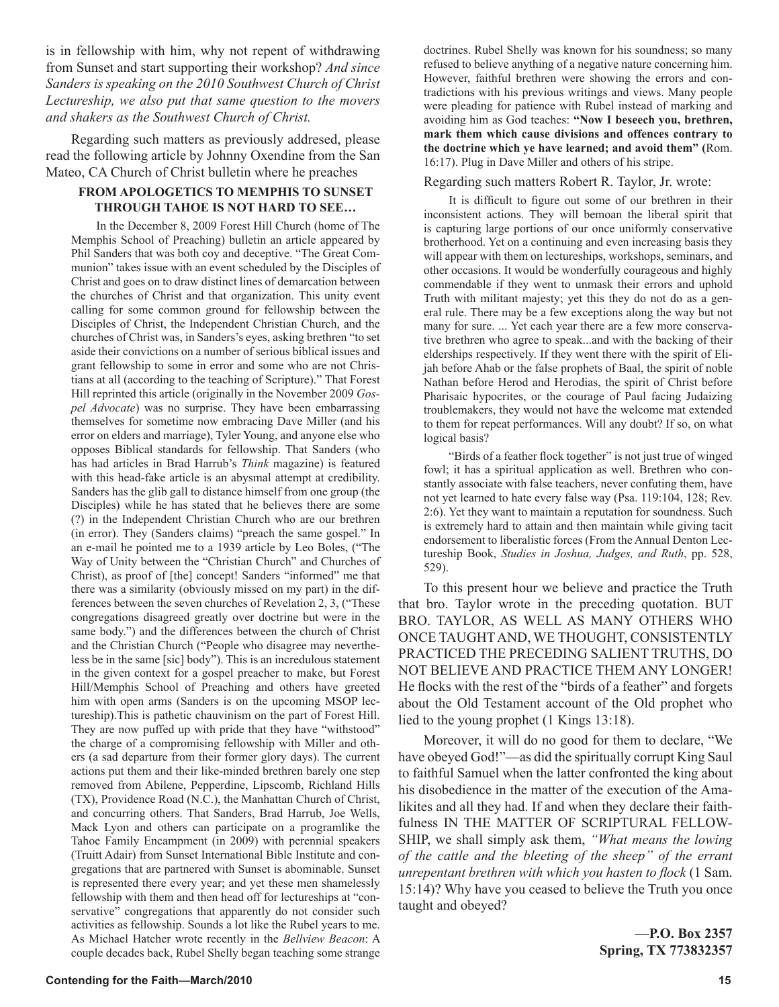is in fellowship with him, why not repent of withdrawing from Sunset and start supporting their workshop? *And since Sanders is speaking on the 2010 Southwest Church of Christ Lectureship, we also put that same question to the movers and shakers as the Southwest Church of Christ.*

Regarding such matters as previously addresed, please read the following article by Johnny Oxendine from the San Mateo, CA Church of Christ bulletin where he preaches

# **FROM APOLOGETICS TO MEMPHIS TO SUNSET THROUGH TAHOE IS NOT HARD TO SEE…**

In the December 8, 2009 Forest Hill Church (home of The Memphis School of Preaching) bulletin an article appeared by Phil Sanders that was both coy and deceptive. "The Great Communion" takes issue with an event scheduled by the Disciples of Christ and goes on to draw distinct lines of demarcation between the churches of Christ and that organization. This unity event calling for some common ground for fellowship between the Disciples of Christ, the Independent Christian Church, and the churches of Christ was, in Sanders's eyes, asking brethren "to set aside their convictions on a number of serious biblical issues and grant fellowship to some in error and some who are not Christians at all (according to the teaching of Scripture)." That Forest Hill reprinted this article (originally in the November 2009 *Gospel Advocate*) was no surprise. They have been embarrassing themselves for sometime now embracing Dave Miller (and his error on elders and marriage), Tyler Young, and anyone else who opposes Biblical standards for fellowship. That Sanders (who has had articles in Brad Harrub's *Think* magazine) is featured with this head-fake article is an abysmal attempt at credibility. Sanders has the glib gall to distance himself from one group (the Disciples) while he has stated that he believes there are some (?) in the Independent Christian Church who are our brethren (in error). They (Sanders claims) "preach the same gospel." In an e-mail he pointed me to a 1939 article by Leo Boles, ("The Way of Unity between the "Christian Church" and Churches of Christ), as proof of [the] concept! Sanders "informed" me that there was a similarity (obviously missed on my part) in the differences between the seven churches of Revelation 2, 3, ("These congregations disagreed greatly over doctrine but were in the same body.") and the differences between the church of Christ and the Christian Church ("People who disagree may nevertheless be in the same [sic] body"). This is an incredulous statement in the given context for a gospel preacher to make, but Forest Hill/Memphis School of Preaching and others have greeted him with open arms (Sanders is on the upcoming MSOP lectureship).This is pathetic chauvinism on the part of Forest Hill. They are now puffed up with pride that they have "withstood" the charge of a compromising fellowship with Miller and others (a sad departure from their former glory days). The current actions put them and their like-minded brethren barely one step removed from Abilene, Pepperdine, Lipscomb, Richland Hills (TX), Providence Road (N.C.), the Manhattan Church of Christ, and concurring others. That Sanders, Brad Harrub, Joe Wells, Mack Lyon and others can participate on a programlike the Tahoe Family Encampment (in 2009) with perennial speakers (Truitt Adair) from Sunset International Bible Institute and congregations that are partnered with Sunset is abominable. Sunset is represented there every year; and yet these men shamelessly fellowship with them and then head off for lectureships at "conservative" congregations that apparently do not consider such activities as fellowship. Sounds a lot like the Rubel years to me. As Michael Hatcher wrote recently in the *Bellview Beacon*: A couple decades back, Rubel Shelly began teaching some strange doctrines. Rubel Shelly was known for his soundness; so many refused to believe anything of a negative nature concerning him. However, faithful brethren were showing the errors and contradictions with his previous writings and views. Many people were pleading for patience with Rubel instead of marking and avoiding him as God teaches: **"Now I beseech you, brethren, mark them which cause divisions and offences contrary to the doctrine which ye have learned; and avoid them" (**Rom. 16:17). Plug in Dave Miller and others of his stripe.

## Regarding such matters Robert R. Taylor, Jr. wrote:

It is difficult to figure out some of our brethren in their inconsistent actions. They will bemoan the liberal spirit that is capturing large portions of our once uniformly conservative brotherhood. Yet on a continuing and even increasing basis they will appear with them on lectureships, workshops, seminars, and other occasions. It would be wonderfully courageous and highly commendable if they went to unmask their errors and uphold Truth with militant majesty; yet this they do not do as a general rule. There may be a few exceptions along the way but not many for sure. ... Yet each year there are a few more conservative brethren who agree to speak...and with the backing of their elderships respectively. If they went there with the spirit of Elijah before Ahab or the false prophets of Baal, the spirit of noble Nathan before Herod and Herodias, the spirit of Christ before Pharisaic hypocrites, or the courage of Paul facing Judaizing troublemakers, they would not have the welcome mat extended to them for repeat performances. Will any doubt? If so, on what logical basis?

"Birds of a feather flock together" is not just true of winged fowl; it has a spiritual application as well. Brethren who constantly associate with false teachers, never confuting them, have not yet learned to hate every false way (Psa. 119:104, 128; Rev. 2:6). Yet they want to maintain a reputation for soundness. Such is extremely hard to attain and then maintain while giving tacit endorsement to liberalistic forces (From the Annual Denton Lectureship Book, *Studies in Joshua, Judges, and Ruth*, pp. 528, 529).

To this present hour we believe and practice the Truth that bro. Taylor wrote in the preceding quotation. BUT BRO. TAYLOR, AS WELL AS MANY OTHERS WHO ONCE TAUGHT AND, WE THOUGHT, CONSISTENTLY PRACTICED THE PRECEDING SALIENT TRUTHS, DO NOT BELIEVE AND PRACTICE THEM ANY LONGER! He flocks with the rest of the "birds of a feather" and forgets about the Old Testament account of the Old prophet who lied to the young prophet (1 Kings 13:18).

Moreover, it will do no good for them to declare, "We have obeyed God!"—as did the spiritually corrupt King Saul to faithful Samuel when the latter confronted the king about his disobedience in the matter of the execution of the Amalikites and all they had. If and when they declare their faithfulness IN THE MATTER OF SCRIPTURAL FELLOW-SHIP, we shall simply ask them, *"What means the lowing of the cattle and the bleeting of the sheep" of the errant unrepentant brethren with which you hasten to flock* (1 Sam. 15:14)? Why have you ceased to believe the Truth you once taught and obeyed?

> **—P.O. Box 2357 Spring, TX 773832357**